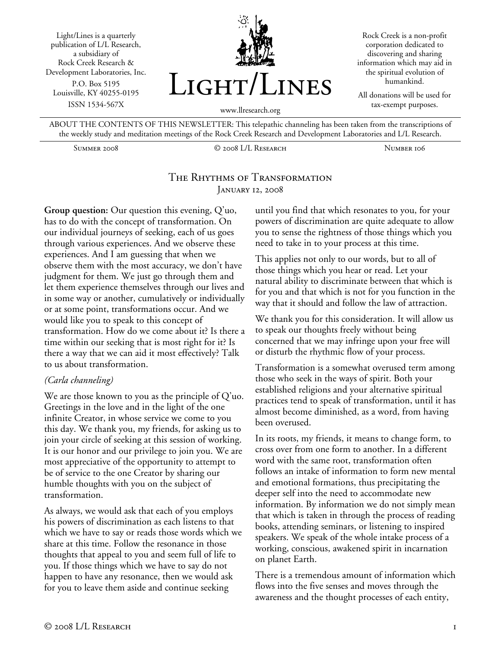Light/Lines is a quarterly publication of L/L Research, a subsidiary of Rock Creek Research & Development Laboratories, Inc. P.O. Box 5195 Louisville, KY 40255-0195 ISSN 1534-567X



Rock Creek is a non-profit corporation dedicated to discovering and sharing information which may aid in the spiritual evolution of humankind.

All donations will be used for tax-exempt purposes.

ABOUT THE CONTENTS OF THIS NEWSLETTER: This telepathic channeling has been taken from the transcriptions of the weekly study and meditation meetings of the Rock Creek Research and Development Laboratories and L/L Research.

Summer 2008 © 2008 L/L Research Number 106

### The Rhythms of Transformation January 12, 2008

**Group question:** Our question this evening, Q'uo, has to do with the concept of transformation. On our individual journeys of seeking, each of us goes through various experiences. And we observe these experiences. And I am guessing that when we observe them with the most accuracy, we don't have judgment for them. We just go through them and let them experience themselves through our lives and in some way or another, cumulatively or individually or at some point, transformations occur. And we would like you to speak to this concept of transformation. How do we come about it? Is there a time within our seeking that is most right for it? Is there a way that we can aid it most effectively? Talk to us about transformation.

### *(Carla channeling)*

We are those known to you as the principle of Q'uo. Greetings in the love and in the light of the one infinite Creator, in whose service we come to you this day. We thank you, my friends, for asking us to join your circle of seeking at this session of working. It is our honor and our privilege to join you. We are most appreciative of the opportunity to attempt to be of service to the one Creator by sharing our humble thoughts with you on the subject of transformation.

As always, we would ask that each of you employs his powers of discrimination as each listens to that which we have to say or reads those words which we share at this time. Follow the resonance in those thoughts that appeal to you and seem full of life to you. If those things which we have to say do not happen to have any resonance, then we would ask for you to leave them aside and continue seeking

until you find that which resonates to you, for your powers of discrimination are quite adequate to allow you to sense the rightness of those things which you need to take in to your process at this time.

This applies not only to our words, but to all of those things which you hear or read. Let your natural ability to discriminate between that which is for you and that which is not for you function in the way that it should and follow the law of attraction.

We thank you for this consideration. It will allow us to speak our thoughts freely without being concerned that we may infringe upon your free will or disturb the rhythmic flow of your process.

Transformation is a somewhat overused term among those who seek in the ways of spirit. Both your established religions and your alternative spiritual practices tend to speak of transformation, until it has almost become diminished, as a word, from having been overused.

In its roots, my friends, it means to change form, to cross over from one form to another. In a different word with the same root, transformation often follows an intake of information to form new mental and emotional formations, thus precipitating the deeper self into the need to accommodate new information. By information we do not simply mean that which is taken in through the process of reading books, attending seminars, or listening to inspired speakers. We speak of the whole intake process of a working, conscious, awakened spirit in incarnation on planet Earth.

There is a tremendous amount of information which flows into the five senses and moves through the awareness and the thought processes of each entity,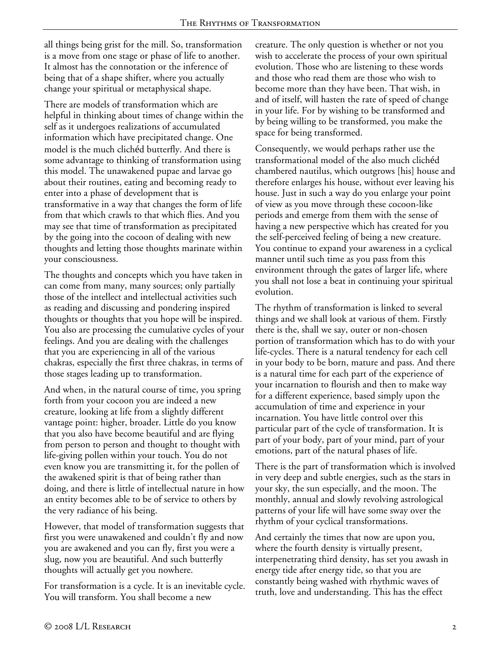all things being grist for the mill. So, transformation is a move from one stage or phase of life to another. It almost has the connotation or the inference of being that of a shape shifter, where you actually change your spiritual or metaphysical shape.

There are models of transformation which are helpful in thinking about times of change within the self as it undergoes realizations of accumulated information which have precipitated change. One model is the much clichéd butterfly. And there is some advantage to thinking of transformation using this model. The unawakened pupae and larvae go about their routines, eating and becoming ready to enter into a phase of development that is transformative in a way that changes the form of life from that which crawls to that which flies. And you may see that time of transformation as precipitated by the going into the cocoon of dealing with new thoughts and letting those thoughts marinate within your consciousness.

The thoughts and concepts which you have taken in can come from many, many sources; only partially those of the intellect and intellectual activities such as reading and discussing and pondering inspired thoughts or thoughts that you hope will be inspired. You also are processing the cumulative cycles of your feelings. And you are dealing with the challenges that you are experiencing in all of the various chakras, especially the first three chakras, in terms of those stages leading up to transformation.

And when, in the natural course of time, you spring forth from your cocoon you are indeed a new creature, looking at life from a slightly different vantage point: higher, broader. Little do you know that you also have become beautiful and are flying from person to person and thought to thought with life-giving pollen within your touch. You do not even know you are transmitting it, for the pollen of the awakened spirit is that of being rather than doing, and there is little of intellectual nature in how an entity becomes able to be of service to others by the very radiance of his being.

However, that model of transformation suggests that first you were unawakened and couldn't fly and now you are awakened and you can fly, first you were a slug, now you are beautiful. And such butterfly thoughts will actually get you nowhere.

For transformation is a cycle. It is an inevitable cycle. You will transform. You shall become a new

creature. The only question is whether or not you wish to accelerate the process of your own spiritual evolution. Those who are listening to these words and those who read them are those who wish to become more than they have been. That wish, in and of itself, will hasten the rate of speed of change in your life. For by wishing to be transformed and by being willing to be transformed, you make the space for being transformed.

Consequently, we would perhaps rather use the transformational model of the also much clichéd chambered nautilus, which outgrows [his] house and therefore enlarges his house, without ever leaving his house. Just in such a way do you enlarge your point of view as you move through these cocoon-like periods and emerge from them with the sense of having a new perspective which has created for you the self-perceived feeling of being a new creature. You continue to expand your awareness in a cyclical manner until such time as you pass from this environment through the gates of larger life, where you shall not lose a beat in continuing your spiritual evolution.

The rhythm of transformation is linked to several things and we shall look at various of them. Firstly there is the, shall we say, outer or non-chosen portion of transformation which has to do with your life-cycles. There is a natural tendency for each cell in your body to be born, mature and pass. And there is a natural time for each part of the experience of your incarnation to flourish and then to make way for a different experience, based simply upon the accumulation of time and experience in your incarnation. You have little control over this particular part of the cycle of transformation. It is part of your body, part of your mind, part of your emotions, part of the natural phases of life.

There is the part of transformation which is involved in very deep and subtle energies, such as the stars in your sky, the sun especially, and the moon. The monthly, annual and slowly revolving astrological patterns of your life will have some sway over the rhythm of your cyclical transformations.

And certainly the times that now are upon you, where the fourth density is virtually present, interpenetrating third density, has set you awash in energy tide after energy tide, so that you are constantly being washed with rhythmic waves of truth, love and understanding. This has the effect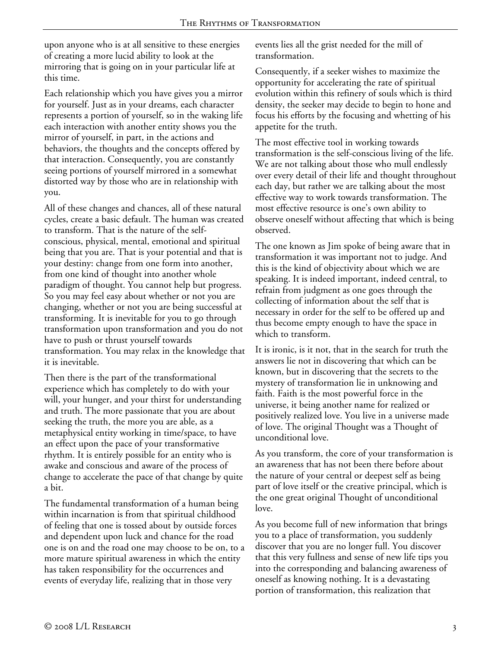upon anyone who is at all sensitive to these energies of creating a more lucid ability to look at the mirroring that is going on in your particular life at this time.

Each relationship which you have gives you a mirror for yourself. Just as in your dreams, each character represents a portion of yourself, so in the waking life each interaction with another entity shows you the mirror of yourself, in part, in the actions and behaviors, the thoughts and the concepts offered by that interaction. Consequently, you are constantly seeing portions of yourself mirrored in a somewhat distorted way by those who are in relationship with you.

All of these changes and chances, all of these natural cycles, create a basic default. The human was created to transform. That is the nature of the selfconscious, physical, mental, emotional and spiritual being that you are. That is your potential and that is your destiny: change from one form into another, from one kind of thought into another whole paradigm of thought. You cannot help but progress. So you may feel easy about whether or not you are changing, whether or not you are being successful at transforming. It is inevitable for you to go through transformation upon transformation and you do not have to push or thrust yourself towards transformation. You may relax in the knowledge that it is inevitable.

Then there is the part of the transformational experience which has completely to do with your will, your hunger, and your thirst for understanding and truth. The more passionate that you are about seeking the truth, the more you are able, as a metaphysical entity working in time/space, to have an effect upon the pace of your transformative rhythm. It is entirely possible for an entity who is awake and conscious and aware of the process of change to accelerate the pace of that change by quite a bit.

The fundamental transformation of a human being within incarnation is from that spiritual childhood of feeling that one is tossed about by outside forces and dependent upon luck and chance for the road one is on and the road one may choose to be on, to a more mature spiritual awareness in which the entity has taken responsibility for the occurrences and events of everyday life, realizing that in those very

events lies all the grist needed for the mill of transformation.

Consequently, if a seeker wishes to maximize the opportunity for accelerating the rate of spiritual evolution within this refinery of souls which is third density, the seeker may decide to begin to hone and focus his efforts by the focusing and whetting of his appetite for the truth.

The most effective tool in working towards transformation is the self-conscious living of the life. We are not talking about those who mull endlessly over every detail of their life and thought throughout each day, but rather we are talking about the most effective way to work towards transformation. The most effective resource is one's own ability to observe oneself without affecting that which is being observed.

The one known as Jim spoke of being aware that in transformation it was important not to judge. And this is the kind of objectivity about which we are speaking. It is indeed important, indeed central, to refrain from judgment as one goes through the collecting of information about the self that is necessary in order for the self to be offered up and thus become empty enough to have the space in which to transform.

It is ironic, is it not, that in the search for truth the answers lie not in discovering that which can be known, but in discovering that the secrets to the mystery of transformation lie in unknowing and faith. Faith is the most powerful force in the universe, it being another name for realized or positively realized love. You live in a universe made of love. The original Thought was a Thought of unconditional love.

As you transform, the core of your transformation is an awareness that has not been there before about the nature of your central or deepest self as being part of love itself or the creative principal, which is the one great original Thought of unconditional love.

As you become full of new information that brings you to a place of transformation, you suddenly discover that you are no longer full. You discover that this very fullness and sense of new life tips you into the corresponding and balancing awareness of oneself as knowing nothing. It is a devastating portion of transformation, this realization that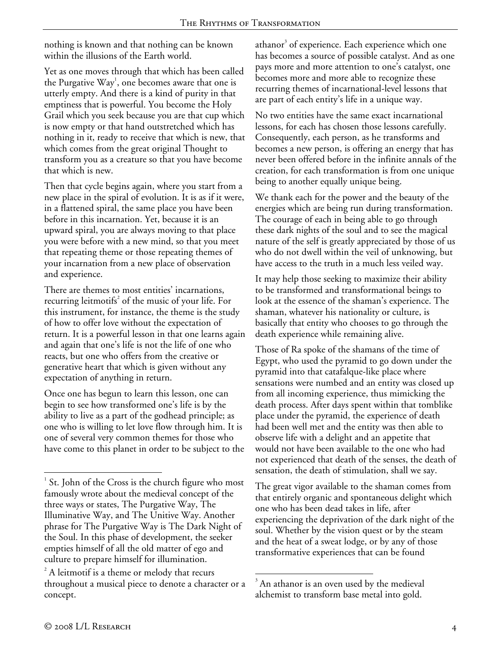nothing is known and that nothing can be known within the illusions of the Earth world.

Yet as one moves through that which has been called the Purgative  $\text{Way}^1$ , one becomes aware that one is utterly empty. And there is a kind of purity in that emptiness that is powerful. You become the Holy Grail which you seek because you are that cup which is now empty or that hand outstretched which has nothing in it, ready to receive that which is new, that which comes from the great original Thought to transform you as a creature so that you have become that which is new.

Then that cycle begins again, where you start from a new place in the spiral of evolution. It is as if it were, in a flattened spiral, the same place you have been before in this incarnation. Yet, because it is an upward spiral, you are always moving to that place you were before with a new mind, so that you meet that repeating theme or those repeating themes of your incarnation from a new place of observation and experience.

There are themes to most entities' incarnations, recurring leitmotifs<sup>2</sup> of the music of your life. For this instrument, for instance, the theme is the study of how to offer love without the expectation of return. It is a powerful lesson in that one learns again and again that one's life is not the life of one who reacts, but one who offers from the creative or generative heart that which is given without any expectation of anything in return.

Once one has begun to learn this lesson, one can begin to see how transformed one's life is by the ability to live as a part of the godhead principle; as one who is willing to let love flow through him. It is one of several very common themes for those who have come to this planet in order to be subject to the athanor $^3$  of experience. Each experience which one has becomes a source of possible catalyst. And as one pays more and more attention to one's catalyst, one becomes more and more able to recognize these recurring themes of incarnational-level lessons that are part of each entity's life in a unique way.

No two entities have the same exact incarnational lessons, for each has chosen those lessons carefully. Consequently, each person, as he transforms and becomes a new person, is offering an energy that has never been offered before in the infinite annals of the creation, for each transformation is from one unique being to another equally unique being.

We thank each for the power and the beauty of the energies which are being run during transformation. The courage of each in being able to go through these dark nights of the soul and to see the magical nature of the self is greatly appreciated by those of us who do not dwell within the veil of unknowing, but have access to the truth in a much less veiled way.

It may help those seeking to maximize their ability to be transformed and transformational beings to look at the essence of the shaman's experience. The shaman, whatever his nationality or culture, is basically that entity who chooses to go through the death experience while remaining alive.

Those of Ra spoke of the shamans of the time of Egypt, who used the pyramid to go down under the pyramid into that catafalque-like place where sensations were numbed and an entity was closed up from all incoming experience, thus mimicking the death process. After days spent within that tomblike place under the pyramid, the experience of death had been well met and the entity was then able to observe life with a delight and an appetite that would not have been available to the one who had not experienced that death of the senses, the death of sensation, the death of stimulation, shall we say.

The great vigor available to the shaman comes from that entirely organic and spontaneous delight which one who has been dead takes in life, after experiencing the deprivation of the dark night of the soul. Whether by the vision quest or by the steam and the heat of a sweat lodge, or by any of those transformative experiences that can be found

 $\overline{a}$ 

 $\overline{a}$ 

 $1$  St. John of the Cross is the church figure who most famously wrote about the medieval concept of the three ways or states, The Purgative Way, The Illuminative Way, and The Unitive Way. Another phrase for The Purgative Way is The Dark Night of the Soul. In this phase of development, the seeker empties himself of all the old matter of ego and culture to prepare himself for illumination. 2

 $A^2$  A leitmotif is a theme or melody that recurs throughout a musical piece to denote a character or a concept.

<sup>&</sup>lt;sup>3</sup> An athanor is an oven used by the medieval alchemist to transform base metal into gold.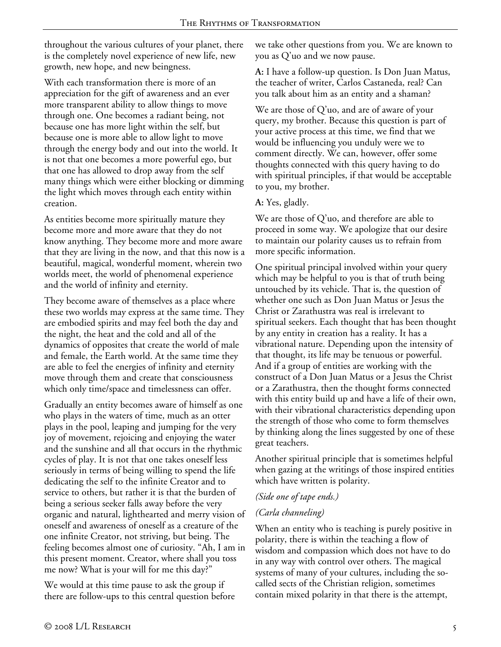throughout the various cultures of your planet, there is the completely novel experience of new life, new growth, new hope, and new beingness.

With each transformation there is more of an appreciation for the gift of awareness and an ever more transparent ability to allow things to move through one. One becomes a radiant being, not because one has more light within the self, but because one is more able to allow light to move through the energy body and out into the world. It is not that one becomes a more powerful ego, but that one has allowed to drop away from the self many things which were either blocking or dimming the light which moves through each entity within creation.

As entities become more spiritually mature they become more and more aware that they do not know anything. They become more and more aware that they are living in the now, and that this now is a beautiful, magical, wonderful moment, wherein two worlds meet, the world of phenomenal experience and the world of infinity and eternity.

They become aware of themselves as a place where these two worlds may express at the same time. They are embodied spirits and may feel both the day and the night, the heat and the cold and all of the dynamics of opposites that create the world of male and female, the Earth world. At the same time they are able to feel the energies of infinity and eternity move through them and create that consciousness which only time/space and timelessness can offer.

Gradually an entity becomes aware of himself as one who plays in the waters of time, much as an otter plays in the pool, leaping and jumping for the very joy of movement, rejoicing and enjoying the water and the sunshine and all that occurs in the rhythmic cycles of play. It is not that one takes oneself less seriously in terms of being willing to spend the life dedicating the self to the infinite Creator and to service to others, but rather it is that the burden of being a serious seeker falls away before the very organic and natural, lighthearted and merry vision of oneself and awareness of oneself as a creature of the one infinite Creator, not striving, but being. The feeling becomes almost one of curiosity. "Ah, I am in this present moment. Creator, where shall you toss me now? What is your will for me this day?"

We would at this time pause to ask the group if there are follow-ups to this central question before

we take other questions from you. We are known to you as Q'uo and we now pause.

**A:** I have a follow-up question. Is Don Juan Matus, the teacher of writer, Carlos Castaneda, real? Can you talk about him as an entity and a shaman?

We are those of Q'uo, and are of aware of your query, my brother. Because this question is part of your active process at this time, we find that we would be influencing you unduly were we to comment directly. We can, however, offer some thoughts connected with this query having to do with spiritual principles, if that would be acceptable to you, my brother.

### **A:** Yes, gladly.

We are those of Q'uo, and therefore are able to proceed in some way. We apologize that our desire to maintain our polarity causes us to refrain from more specific information.

One spiritual principal involved within your query which may be helpful to you is that of truth being untouched by its vehicle. That is, the question of whether one such as Don Juan Matus or Jesus the Christ or Zarathustra was real is irrelevant to spiritual seekers. Each thought that has been thought by any entity in creation has a reality. It has a vibrational nature. Depending upon the intensity of that thought, its life may be tenuous or powerful. And if a group of entities are working with the construct of a Don Juan Matus or a Jesus the Christ or a Zarathustra, then the thought forms connected with this entity build up and have a life of their own, with their vibrational characteristics depending upon the strength of those who come to form themselves by thinking along the lines suggested by one of these great teachers.

Another spiritual principle that is sometimes helpful when gazing at the writings of those inspired entities which have written is polarity.

## *(Side one of tape ends.)*

### *(Carla channeling)*

When an entity who is teaching is purely positive in polarity, there is within the teaching a flow of wisdom and compassion which does not have to do in any way with control over others. The magical systems of many of your cultures, including the socalled sects of the Christian religion, sometimes contain mixed polarity in that there is the attempt,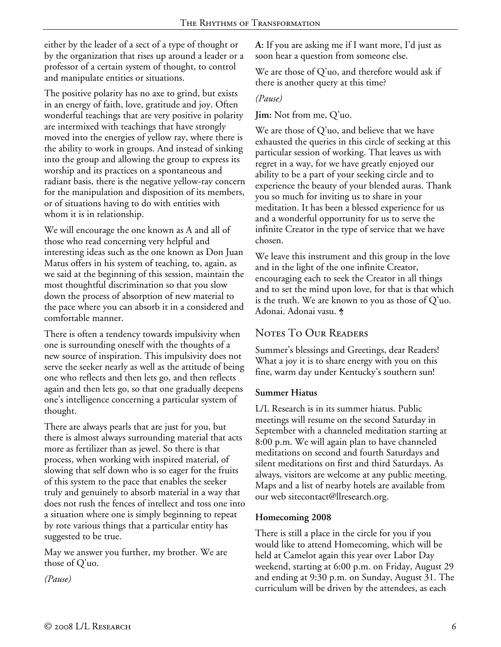either by the leader of a sect of a type of thought or by the organization that rises up around a leader or a professor of a certain system of thought, to control and manipulate entities or situations.

The positive polarity has no axe to grind, but exists in an energy of faith, love, gratitude and joy. Often wonderful teachings that are very positive in polarity are intermixed with teachings that have strongly moved into the energies of yellow ray, where there is the ability to work in groups. And instead of sinking into the group and allowing the group to express its worship and its practices on a spontaneous and radiant basis, there is the negative yellow-ray concern for the manipulation and disposition of its members, or of situations having to do with entities with whom it is in relationship.

We will encourage the one known as A and all of those who read concerning very helpful and interesting ideas such as the one known as Don Juan Matus offers in his system of teaching, to, again, as we said at the beginning of this session, maintain the most thoughtful discrimination so that you slow down the process of absorption of new material to the pace where you can absorb it in a considered and comfortable manner.

There is often a tendency towards impulsivity when one is surrounding oneself with the thoughts of a new source of inspiration. This impulsivity does not serve the seeker nearly as well as the attitude of being one who reflects and then lets go, and then reflects again and then lets go, so that one gradually deepens one's intelligence concerning a particular system of thought.

There are always pearls that are just for you, but there is almost always surrounding material that acts more as fertilizer than as jewel. So there is that process, when working with inspired material, of slowing that self down who is so eager for the fruits of this system to the pace that enables the seeker truly and genuinely to absorb material in a way that does not rush the fences of intellect and toss one into a situation where one is simply beginning to repeat by rote various things that a particular entity has suggested to be true.

May we answer you further, my brother. We are those of Q'uo.

*(Pause)* 

**A:** If you are asking me if I want more, I'd just as soon hear a question from someone else.

We are those of Q'uo, and therefore would ask if there is another query at this time?

### *(Pause)*

**Jim:** Not from me, Q'uo.

We are those of Q'uo, and believe that we have exhausted the queries in this circle of seeking at this particular session of working. That leaves us with regret in a way, for we have greatly enjoyed our ability to be a part of your seeking circle and to experience the beauty of your blended auras. Thank you so much for inviting us to share in your meditation. It has been a blessed experience for us and a wonderful opportunity for us to serve the infinite Creator in the type of service that we have chosen.

We leave this instrument and this group in the love and in the light of the one infinite Creator, encouraging each to seek the Creator in all things and to set the mind upon love, for that is that which is the truth. We are known to you as those of Q'uo. Adonai. Adonai vasu. <del>\$</del>

# NOTES TO OUR READERS

Summer's blessings and Greetings, dear Readers! What a joy it is to share energy with you on this fine, warm day under Kentucky's southern sun!

## **Summer Hiatus**

L/L Research is in its summer hiatus. Public meetings will resume on the second Saturday in September with a channeled meditation starting at 8:00 p.m. We will again plan to have channeled meditations on second and fourth Saturdays and silent meditations on first and third Saturdays. As always, visitors are welcome at any public meeting. Maps and a list of nearby hotels are available from our web sitecontact@llresearch.org.

## **Homecoming 2008**

There is still a place in the circle for you if you would like to attend Homecoming, which will be held at Camelot again this year over Labor Day weekend, starting at 6:00 p.m. on Friday, August 29 and ending at 9:30 p.m. on Sunday, August 31. The curriculum will be driven by the attendees, as each